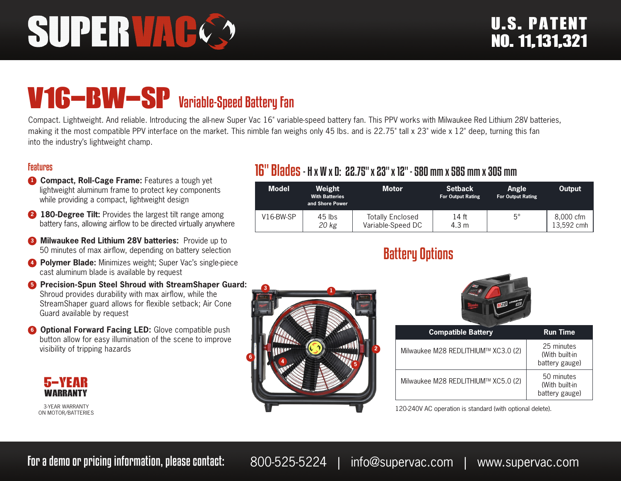# SUPERVAC

# V16-BW-SP Variable-Speed Battery Fan

Compact. Lightweight. And reliable. Introducing the all-new Super Vac 16" variable-speed battery fan. This PPV works with Milwaukee Red Lithium 28V batteries, making it the most compatible PPV interface on the market. This nimble fan weighs only 45 lbs. and is 22.75" tall x 23" wide x 12" deep, turning this fan into the industry's lightweight champ.

#### Features

- **1 Compact, Roll-Cage Frame:** Features a tough yet lightweight aluminum frame to protect key components while providing a compact, lightweight design
- **2 180-Degree Tilt:** Provides the largest tilt range among battery fans, allowing airflow to be directed virtually anywhere
- **8 Milwaukee Red Lithium 28V batteries:** Provide up to 50 minutes of max airflow, depending on battery selection
- **4 Polymer Blade:** Minimizes weight; Super Vac's single-piece cast aluminum blade is available by request
- **<sup>6</sup>** Precision-Spun Steel Shroud with StreamShaper Guard: Shroud provides durability with max airflow, while the StreamShaper guard allows for flexible setback; Air Cone Guard available by request
- **6 Optional Forward Facing LED:** Glove compatible push button allow for easy illumination of the scene to improve visibility of tripping hazards



3-YEAR WARRANTY ON MOTOR/BATTERIES

### 16" Blades- H x W x D: 22.75" x 23" x 12" - 580 mm x 585 mm x 305 mm

| <b>Model</b> | Weight<br><b>With Batteries</b><br>and Shore Power | <b>Motor</b>                                 | <b>Setback</b><br><b>For Output Rating</b> | Angle<br><b>For Output Rating</b> | Output                  |
|--------------|----------------------------------------------------|----------------------------------------------|--------------------------------------------|-----------------------------------|-------------------------|
| $V16-BW-SP$  | $45$ lbs<br>20 kg                                  | <b>Totally Enclosed</b><br>Variable-Speed DC | 14 ft<br>4.3 m                             | $5^{\circ}$                       | 8,000 cfm<br>13.592 cmh |

## Battery Options





| <b>Compatible Battery</b>           | <b>Run Time</b>                                |
|-------------------------------------|------------------------------------------------|
| Milwaukee M28 REDLITHIUM™ XC3.0 (2) | 25 minutes<br>(With built-in<br>battery gauge) |
| Milwaukee M28 REDLITHIUM™ XC5.0 (2) | 50 minutes<br>(With built-in<br>battery gauge) |

120-240V AC operation is standard (with optional delete).

For a demo or pricing information, please contact: 800-525-5224 | info@supervac.com | www.supervac.com